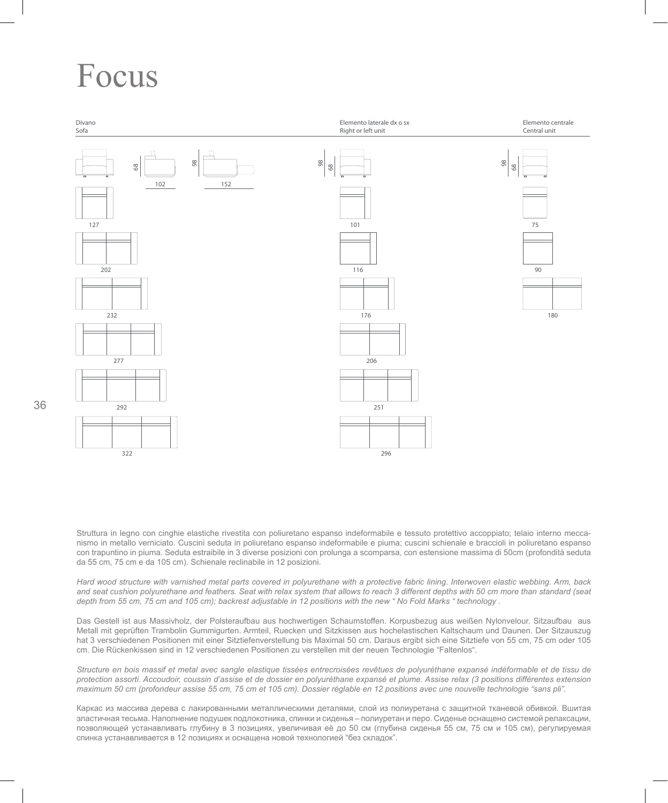## Focus



Struttura in legno con cinghie elastiche rivestita con poliuretano espanso indeformabile e tessuto protettivo accoppiato; telaio interno meccanismo in metallo verniciato. Cuscini seduta in poliuretano espanso indeformabile e piuma; cuscini schienale e braccioli in poliuretano espanso con trapuntino in piuma. Seduta estraibile in 3 diverse posizioni con prolunga a scomparsa, con estensione massima di 50cm (profondità seduta da 55 cm, 75 cm e da 105 cm). Schienale reclinabile in 12 posizioni.

*Hard wood structure with varnished metal parts covered in polyurethane with a protective fabric lining. Interwoven elastic webbing. Arm, back and seat cushion polyurethane and feathers. Seat with relax system that allows to reach 3 different depths with 50 cm more than standard (seat depth from 55 cm, 75 cm and 105 cm); backrest adjustable in 12 positions with the new " No Fold Marks " technology .* 

Das Gestell ist aus Massivholz, der Polsteraufbau aus hochwertigen Schaumstoffen. Korpusbezug aus weißen Nylonvelour. Sitzaufbau aus Metall mit geprüften Trambolin Gummigurten. Armteil, Ruecken und Sitzkissen aus hochelastischen Kaltschaum und Daunen. Der Sitzauszug hat 3 verschiedenen Positionen mit einer Sitztiefenverstellung bis Maximal 50 cm. Daraus ergibt sich eine Sitztiefe von 55 cm, 75 cm oder 105 cm. Die Rückenkissen sind in 12 verschiedenen Positionen zu verstellen mit der neuen Technologie "Faltenlos".

*Structure en bois massif et metal avec sangle elastique tissées entrecroisées revêtues de polyuréthane expansé indéformable et de tissu de protection assorti. Accoudoir, coussin d'assise et de dossier en polyuréthane expansé et plume. Assise relax (3 positions différentes extension maximum 50 cm (profondeur assise 55 cm, 75 cm et 105 cm). Dossier réglable en 12 positions avec une nouvelle technologie "sans pli".*

Каркас из массива дерева с лакированными металлическими деталями, слой из полиуретана с защитной тканевой обивкой. Вшитая эластичная тесьма. Наполнение подушек подлокотника, спинки и сиденья – полиуретан и перо. Сиденье оснащено системой релаксации, позволяющей устанавливать глубину в 3 позициях, увеличивая её до 50 см (глубина сиденья 55 см, 75 см и 105 см), регулируемая спинка устанавливается в 12 позициях и оснащена новой технологией "без складок".